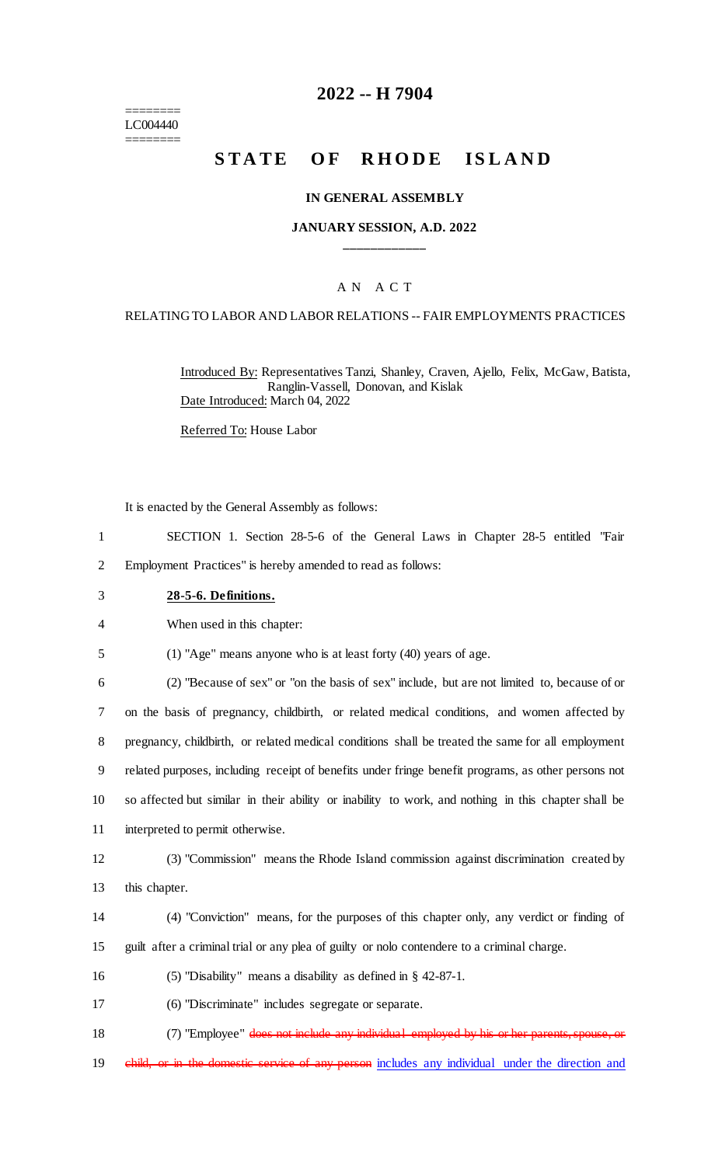======== LC004440 ========

## **2022 -- H 7904**

# **STATE OF RHODE ISLAND**

#### **IN GENERAL ASSEMBLY**

#### **JANUARY SESSION, A.D. 2022 \_\_\_\_\_\_\_\_\_\_\_\_**

#### A N A C T

#### RELATING TO LABOR AND LABOR RELATIONS -- FAIR EMPLOYMENTS PRACTICES

Introduced By: Representatives Tanzi, Shanley, Craven, Ajello, Felix, McGaw, Batista, Ranglin-Vassell, Donovan, and Kislak Date Introduced: March 04, 2022

Referred To: House Labor

It is enacted by the General Assembly as follows:

- 1 SECTION 1. Section 28-5-6 of the General Laws in Chapter 28-5 entitled "Fair 2 Employment Practices" is hereby amended to read as follows:
- 3 **28-5-6. Definitions.**

4 When used in this chapter:

5 (1) "Age" means anyone who is at least forty (40) years of age.

 (2) "Because of sex" or "on the basis of sex" include, but are not limited to, because of or on the basis of pregnancy, childbirth, or related medical conditions, and women affected by pregnancy, childbirth, or related medical conditions shall be treated the same for all employment related purposes, including receipt of benefits under fringe benefit programs, as other persons not so affected but similar in their ability or inability to work, and nothing in this chapter shall be interpreted to permit otherwise.

12 (3) "Commission" means the Rhode Island commission against discrimination created by 13 this chapter.

14 (4) "Conviction" means, for the purposes of this chapter only, any verdict or finding of 15 guilt after a criminal trial or any plea of guilty or nolo contendere to a criminal charge.

16 (5) "Disability" means a disability as defined in § 42-87-1.

17 (6) "Discriminate" includes segregate or separate.

18 (7) "Employee" does not include any individual employed by his or her parents, spouse, or

19 child, or in the domestic service of any person includes any individual under the direction and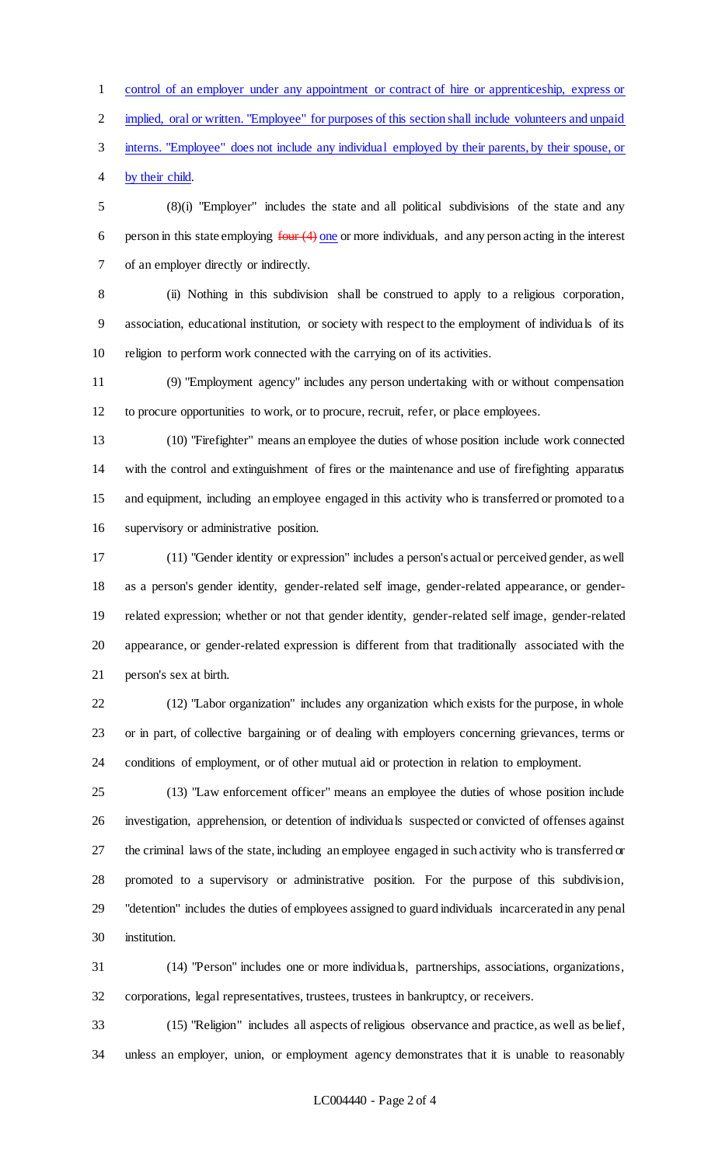control of an employer under any appointment or contract of hire or apprenticeship, express or

implied, oral or written. "Employee" for purposes of this section shall include volunteers and unpaid

interns. "Employee" does not include any individual employed by their parents, by their spouse, or

by their child.

 (8)(i) "Employer" includes the state and all political subdivisions of the state and any 6 person in this state employing  $four (4)$  one or more individuals, and any person acting in the interest of an employer directly or indirectly.

 (ii) Nothing in this subdivision shall be construed to apply to a religious corporation, association, educational institution, or society with respect to the employment of individuals of its religion to perform work connected with the carrying on of its activities.

 (9) "Employment agency" includes any person undertaking with or without compensation to procure opportunities to work, or to procure, recruit, refer, or place employees.

 (10) "Firefighter" means an employee the duties of whose position include work connected with the control and extinguishment of fires or the maintenance and use of firefighting apparatus and equipment, including an employee engaged in this activity who is transferred or promoted to a supervisory or administrative position.

 (11) "Gender identity or expression" includes a person's actual or perceived gender, as well as a person's gender identity, gender-related self image, gender-related appearance, or gender- related expression; whether or not that gender identity, gender-related self image, gender-related appearance, or gender-related expression is different from that traditionally associated with the person's sex at birth.

 (12) "Labor organization" includes any organization which exists for the purpose, in whole or in part, of collective bargaining or of dealing with employers concerning grievances, terms or conditions of employment, or of other mutual aid or protection in relation to employment.

 (13) "Law enforcement officer" means an employee the duties of whose position include investigation, apprehension, or detention of individuals suspected or convicted of offenses against the criminal laws of the state, including an employee engaged in such activity who is transferred or promoted to a supervisory or administrative position. For the purpose of this subdivision, "detention" includes the duties of employees assigned to guard individuals incarcerated in any penal institution.

 (14) "Person" includes one or more individuals, partnerships, associations, organizations, corporations, legal representatives, trustees, trustees in bankruptcy, or receivers.

 (15) "Religion" includes all aspects of religious observance and practice, as well as belief, unless an employer, union, or employment agency demonstrates that it is unable to reasonably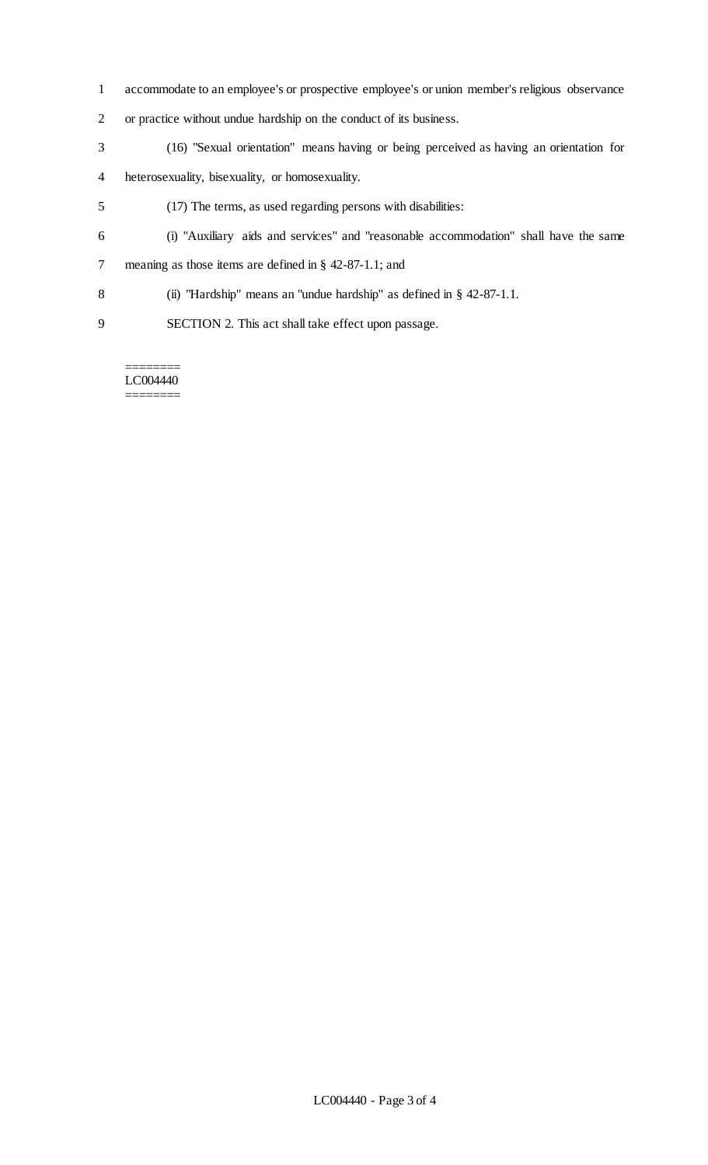- accommodate to an employee's or prospective employee's or union member's religious observance
- or practice without undue hardship on the conduct of its business.
- (16) "Sexual orientation" means having or being perceived as having an orientation for
- heterosexuality, bisexuality, or homosexuality.
- (17) The terms, as used regarding persons with disabilities:
- (i) "Auxiliary aids and services" and "reasonable accommodation" shall have the same meaning as those items are defined in § 42-87-1.1; and
- (ii) "Hardship" means an "undue hardship" as defined in § 42-87-1.1.
- SECTION 2. This act shall take effect upon passage.

======== LC004440 ========